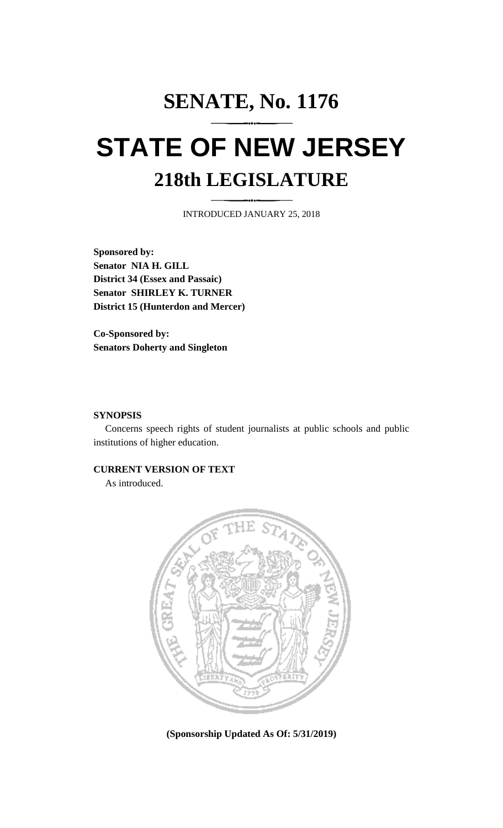## **SENATE, No. 1176 STATE OF NEW JERSEY 218th LEGISLATURE**

INTRODUCED JANUARY 25, 2018

**Sponsored by: Senator NIA H. GILL District 34 (Essex and Passaic) Senator SHIRLEY K. TURNER District 15 (Hunterdon and Mercer)**

**Co-Sponsored by: Senators Doherty and Singleton**

## **SYNOPSIS**

Concerns speech rights of student journalists at public schools and public institutions of higher education.

## **CURRENT VERSION OF TEXT**

As introduced.



**(Sponsorship Updated As Of: 5/31/2019)**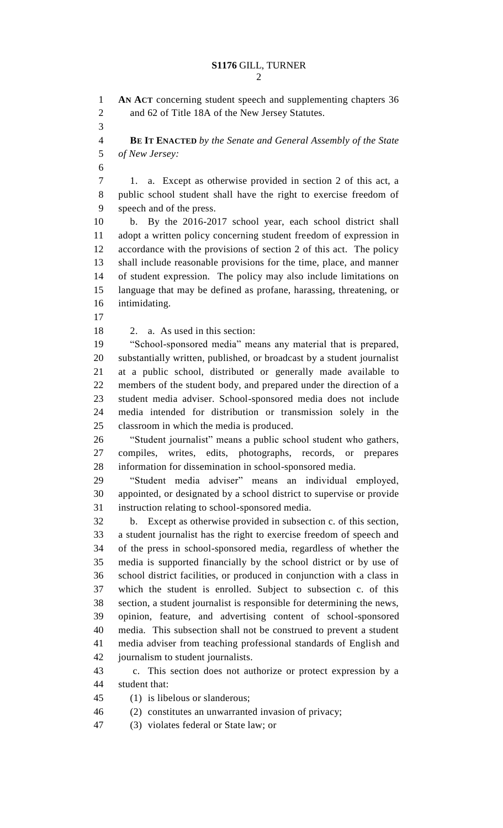**AN ACT** concerning student speech and supplementing chapters 36 and 62 of Title 18A of the New Jersey Statutes. **BE IT ENACTED** *by the Senate and General Assembly of the State of New Jersey:* 1. a. Except as otherwise provided in section 2 of this act, a public school student shall have the right to exercise freedom of speech and of the press. b. By the 2016-2017 school year, each school district shall adopt a written policy concerning student freedom of expression in accordance with the provisions of section 2 of this act. The policy shall include reasonable provisions for the time, place, and manner of student expression. The policy may also include limitations on language that may be defined as profane, harassing, threatening, or intimidating. 2. a. As used in this section: "School-sponsored media" means any material that is prepared, substantially written, published, or broadcast by a student journalist at a public school, distributed or generally made available to members of the student body, and prepared under the direction of a student media adviser. School-sponsored media does not include media intended for distribution or transmission solely in the classroom in which the media is produced. "Student journalist" means a public school student who gathers, compiles, writes, edits, photographs, records, or prepares information for dissemination in school-sponsored media. "Student media adviser" means an individual employed, appointed, or designated by a school district to supervise or provide instruction relating to school-sponsored media. b. Except as otherwise provided in subsection c. of this section, a student journalist has the right to exercise freedom of speech and of the press in school-sponsored media, regardless of whether the media is supported financially by the school district or by use of school district facilities, or produced in conjunction with a class in which the student is enrolled. Subject to subsection c. of this section, a student journalist is responsible for determining the news, opinion, feature, and advertising content of school-sponsored media. This subsection shall not be construed to prevent a student media adviser from teaching professional standards of English and journalism to student journalists. c. This section does not authorize or protect expression by a student that: (1) is libelous or slanderous; (2) constitutes an unwarranted invasion of privacy; (3) violates federal or State law; or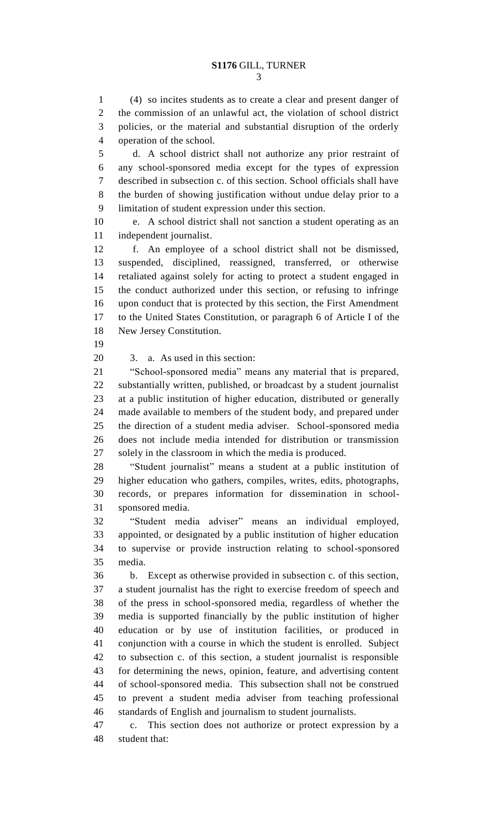(4) so incites students as to create a clear and present danger of the commission of an unlawful act, the violation of school district policies, or the material and substantial disruption of the orderly operation of the school.

 d. A school district shall not authorize any prior restraint of any school-sponsored media except for the types of expression described in subsection c. of this section. School officials shall have the burden of showing justification without undue delay prior to a limitation of student expression under this section.

 e. A school district shall not sanction a student operating as an independent journalist.

 f. An employee of a school district shall not be dismissed, suspended, disciplined, reassigned, transferred, or otherwise retaliated against solely for acting to protect a student engaged in the conduct authorized under this section, or refusing to infringe upon conduct that is protected by this section, the First Amendment to the United States Constitution, or paragraph 6 of Article I of the New Jersey Constitution.

3. a. As used in this section:

 "School-sponsored media" means any material that is prepared, substantially written, published, or broadcast by a student journalist at a public institution of higher education, distributed or generally made available to members of the student body, and prepared under the direction of a student media adviser. School-sponsored media does not include media intended for distribution or transmission solely in the classroom in which the media is produced.

 "Student journalist" means a student at a public institution of higher education who gathers, compiles, writes, edits, photographs, records, or prepares information for dissemination in school-sponsored media.

 "Student media adviser" means an individual employed, appointed, or designated by a public institution of higher education to supervise or provide instruction relating to school-sponsored media.

 b. Except as otherwise provided in subsection c. of this section, a student journalist has the right to exercise freedom of speech and of the press in school-sponsored media, regardless of whether the media is supported financially by the public institution of higher education or by use of institution facilities, or produced in conjunction with a course in which the student is enrolled. Subject to subsection c. of this section, a student journalist is responsible for determining the news, opinion, feature, and advertising content of school-sponsored media. This subsection shall not be construed to prevent a student media adviser from teaching professional standards of English and journalism to student journalists.

 c. This section does not authorize or protect expression by a student that: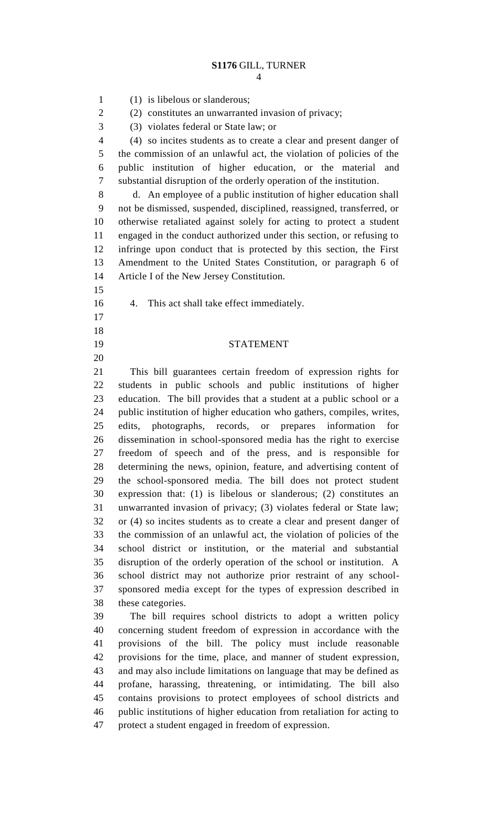(1) is libelous or slanderous; (2) constitutes an unwarranted invasion of privacy; (3) violates federal or State law; or (4) so incites students as to create a clear and present danger of the commission of an unlawful act, the violation of policies of the public institution of higher education, or the material and substantial disruption of the orderly operation of the institution. d. An employee of a public institution of higher education shall not be dismissed, suspended, disciplined, reassigned, transferred, or otherwise retaliated against solely for acting to protect a student engaged in the conduct authorized under this section, or refusing to infringe upon conduct that is protected by this section, the First Amendment to the United States Constitution, or paragraph 6 of Article I of the New Jersey Constitution. 4. This act shall take effect immediately. STATEMENT This bill guarantees certain freedom of expression rights for students in public schools and public institutions of higher education. The bill provides that a student at a public school or a public institution of higher education who gathers, compiles, writes, edits, photographs, records, or prepares information for dissemination in school-sponsored media has the right to exercise freedom of speech and of the press, and is responsible for determining the news, opinion, feature, and advertising content of the school-sponsored media. The bill does not protect student expression that: (1) is libelous or slanderous; (2) constitutes an unwarranted invasion of privacy; (3) violates federal or State law; or (4) so incites students as to create a clear and present danger of the commission of an unlawful act, the violation of policies of the school district or institution, or the material and substantial disruption of the orderly operation of the school or institution. A school district may not authorize prior restraint of any school- sponsored media except for the types of expression described in these categories. The bill requires school districts to adopt a written policy concerning student freedom of expression in accordance with the provisions of the bill. The policy must include reasonable provisions for the time, place, and manner of student expression, and may also include limitations on language that may be defined as profane, harassing, threatening, or intimidating. The bill also contains provisions to protect employees of school districts and public institutions of higher education from retaliation for acting to

protect a student engaged in freedom of expression.